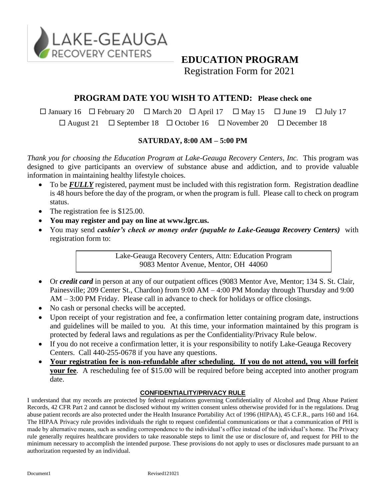

## **EDUCATION PROGRAM**

Registration Form for 2021

### **PROGRAM DATE YOU WISH TO ATTEND: Please check one**

 $\Box$  January 16  $\Box$  February 20  $\Box$  March 20  $\Box$  April 17  $\Box$  May 15  $\Box$  June 19  $\Box$  July 17  $\Box$  August 21  $\Box$  September 18  $\Box$  October 16  $\Box$  November 20  $\Box$  December 18

#### **SATURDAY, 8:00 AM – 5:00 PM**

*Thank you for choosing the Education Program at Lake-Geauga Recovery Centers, Inc.* This program was designed to give participants an overview of substance abuse and addiction, and to provide valuable information in maintaining healthy lifestyle choices.

- To be *FULLY* registered, payment must be included with this registration form. Registration deadline is 48 hours before the day of the program, or when the program is full. Please call to check on program status.
- The registration fee is \$125.00.
- **You may register and pay on line at www.lgrc.us.**
- You may send *cashier's check or money order (payable to Lake-Geauga Recovery Centers)* with registration form to:

Lake-Geauga Recovery Centers, Attn: Education Program 9083 Mentor Avenue, Mentor, OH 44060

- Or *credit card* in person at any of our outpatient offices (9083 Mentor Ave, Mentor; 134 S. St. Clair, Painesville; 209 Center St., Chardon) from 9:00 AM – 4:00 PM Monday through Thursday and 9:00 AM – 3:00 PM Friday. Please call in advance to check for holidays or office closings.
- No cash or personal checks will be accepted.
- Upon receipt of your registration and fee, a confirmation letter containing program date, instructions and guidelines will be mailed to you. At this time, your information maintained by this program is protected by federal laws and regulations as per the Confidentiality/Privacy Rule below.
- If you do not receive a confirmation letter, it is your responsibility to notify Lake-Geauga Recovery Centers. Call 440-255-0678 if you have any questions.
- **Your registration fee is non-refundable after scheduling. If you do not attend, you will forfeit your fee**. A rescheduling fee of \$15.00 will be required before being accepted into another program date.

#### **CONFIDENTIALITY/PRIVACY RULE**

I understand that my records are protected by federal regulations governing Confidentiality of Alcohol and Drug Abuse Patient Records, 42 CFR Part 2 and cannot be disclosed without my written consent unless otherwise provided for in the regulations. Drug abuse patient records are also protected under the Health Insurance Portability Act of 1996 (HIPAA), 45 C.F.R., parts 160 and 164. The HIPAA Privacy rule provides individuals the right to request confidential communications or that a communication of PHI is made by alternative means, such as sending correspondence to the individual's office instead of the individual's home. The Privacy rule generally requires healthcare providers to take reasonable steps to limit the use or disclosure of, and request for PHI to the minimum necessary to accomplish the intended purpose. These provisions do not apply to uses or disclosures made pursuant to an authorization requested by an individual.